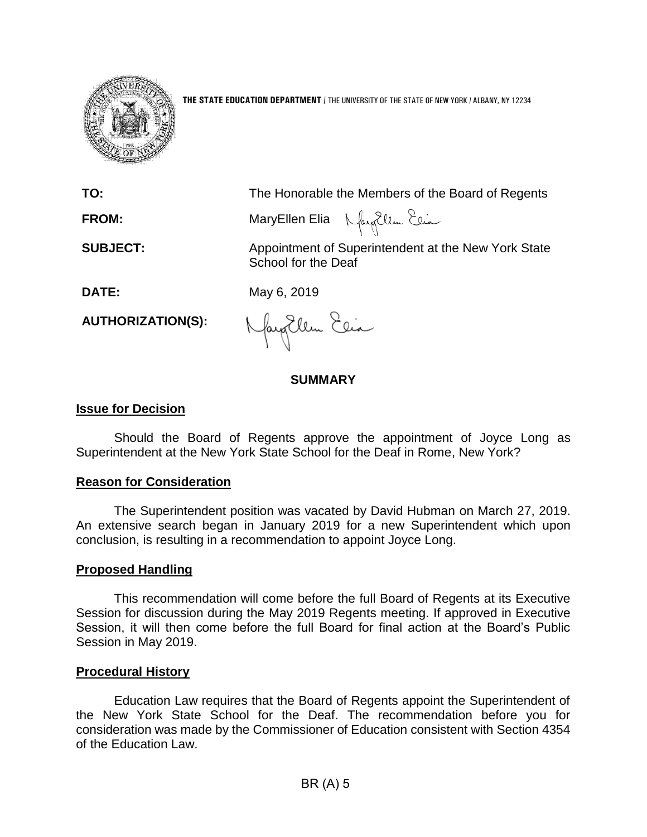

**THE STATE EDUCATION DEPARTMENT** / THE UNIVERSITY OF THE STATE OF NEW YORK / ALBANY, NY 12234

**TO:** The Honorable the Members of the Board of Regents

**FROM:** MaryEllen Elia

**SUBJECT:** Appointment of Superintendent at the New York State School for the Deaf

**DATE:** May 6, 2019

**AUTHORIZATION(S):**

fayEllen Elia

# **SUMMARY**

### **Issue for Decision**

Should the Board of Regents approve the appointment of Joyce Long as Superintendent at the New York State School for the Deaf in Rome, New York?

### **Reason for Consideration**

The Superintendent position was vacated by David Hubman on March 27, 2019. An extensive search began in January 2019 for a new Superintendent which upon conclusion, is resulting in a recommendation to appoint Joyce Long.

### **Proposed Handling**

This recommendation will come before the full Board of Regents at its Executive Session for discussion during the May 2019 Regents meeting. If approved in Executive Session, it will then come before the full Board for final action at the Board's Public Session in May 2019.

### **Procedural History**

Education Law requires that the Board of Regents appoint the Superintendent of the New York State School for the Deaf. The recommendation before you for consideration was made by the Commissioner of Education consistent with Section 4354 of the Education Law.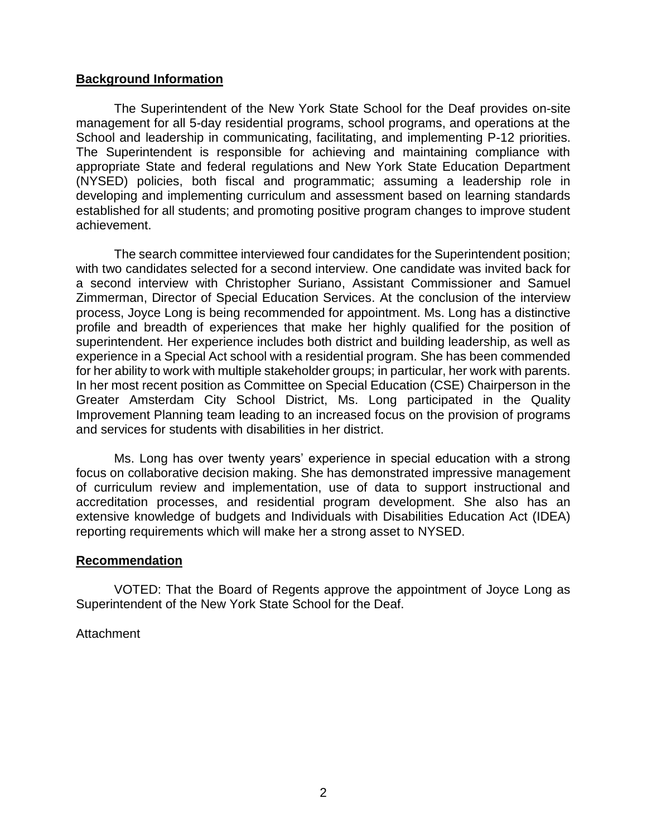#### **Background Information**

The Superintendent of the New York State School for the Deaf provides on-site management for all 5-day residential programs, school programs, and operations at the School and leadership in communicating, facilitating, and implementing P-12 priorities. The Superintendent is responsible for achieving and maintaining compliance with appropriate State and federal regulations and New York State Education Department (NYSED) policies, both fiscal and programmatic; assuming a leadership role in developing and implementing curriculum and assessment based on learning standards established for all students; and promoting positive program changes to improve student achievement.

The search committee interviewed four candidates for the Superintendent position; with two candidates selected for a second interview. One candidate was invited back for a second interview with Christopher Suriano, Assistant Commissioner and Samuel Zimmerman, Director of Special Education Services. At the conclusion of the interview process, Joyce Long is being recommended for appointment. Ms. Long has a distinctive profile and breadth of experiences that make her highly qualified for the position of superintendent. Her experience includes both district and building leadership, as well as experience in a Special Act school with a residential program. She has been commended for her ability to work with multiple stakeholder groups; in particular, her work with parents. In her most recent position as Committee on Special Education (CSE) Chairperson in the Greater Amsterdam City School District, Ms. Long participated in the Quality Improvement Planning team leading to an increased focus on the provision of programs and services for students with disabilities in her district.

Ms. Long has over twenty years' experience in special education with a strong focus on collaborative decision making. She has demonstrated impressive management of curriculum review and implementation, use of data to support instructional and accreditation processes, and residential program development. She also has an extensive knowledge of budgets and Individuals with Disabilities Education Act (IDEA) reporting requirements which will make her a strong asset to NYSED.

#### **Recommendation**

VOTED: That the Board of Regents approve the appointment of Joyce Long as Superintendent of the New York State School for the Deaf.

#### **Attachment**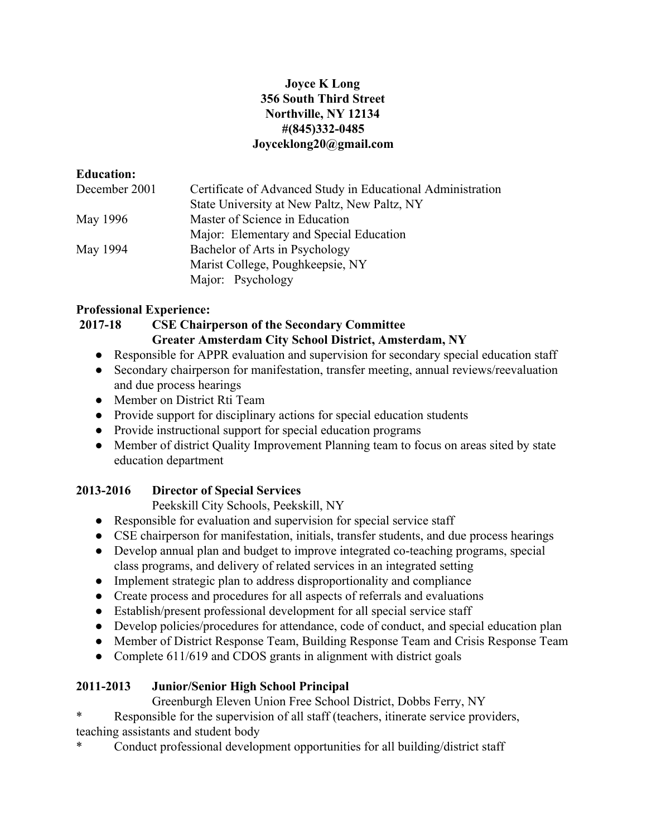### **Joyce K Long 356 South Third Street Northville, NY 12134 #(845)332-0485 Joyceklong20@gmail.com**

### **Education:**

| December 2001 | Certificate of Advanced Study in Educational Administration |
|---------------|-------------------------------------------------------------|
|               | State University at New Paltz, New Paltz, NY                |
| May 1996      | Master of Science in Education                              |
|               | Major: Elementary and Special Education                     |
| May 1994      | Bachelor of Arts in Psychology                              |
|               | Marist College, Poughkeepsie, NY                            |
|               | Major: Psychology                                           |

# **Professional Experience:**

# **2017-18 CSE Chairperson of the Secondary Committee Greater Amsterdam City School District, Amsterdam, NY**

- Responsible for APPR evaluation and supervision for secondary special education staff
- Secondary chairperson for manifestation, transfer meeting, annual reviews/reevaluation and due process hearings
- Member on District Rti Team
- Provide support for disciplinary actions for special education students
- Provide instructional support for special education programs
- Member of district Quality Improvement Planning team to focus on areas sited by state education department

# **2013-2016 Director of Special Services**

Peekskill City Schools, Peekskill, NY

- Responsible for evaluation and supervision for special service staff
- CSE chairperson for manifestation, initials, transfer students, and due process hearings
- Develop annual plan and budget to improve integrated co-teaching programs, special class programs, and delivery of related services in an integrated setting
- Implement strategic plan to address disproportionality and compliance
- Create process and procedures for all aspects of referrals and evaluations
- Establish/present professional development for all special service staff
- Develop policies/procedures for attendance, code of conduct, and special education plan
- Member of District Response Team, Building Response Team and Crisis Response Team
- Complete 611/619 and CDOS grants in alignment with district goals

# **2011-2013 Junior/Senior High School Principal**

Greenburgh Eleven Union Free School District, Dobbs Ferry, NY

Responsible for the supervision of all staff (teachers, itinerate service providers, teaching assistants and student body

Conduct professional development opportunities for all building/district staff